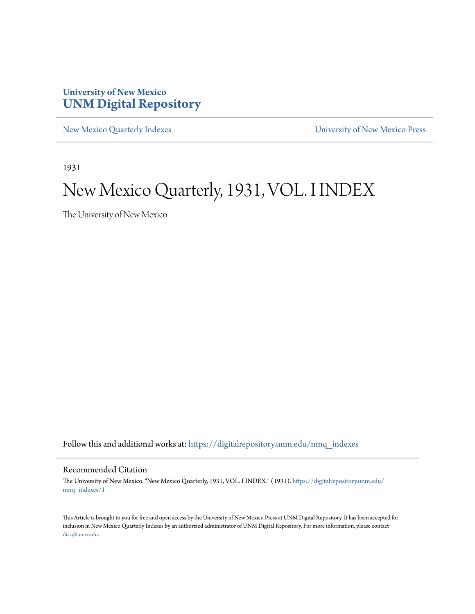## **University of New Mexico [UNM Digital Repository](https://digitalrepository.unm.edu?utm_source=digitalrepository.unm.edu%2Fnmq_indexes%2F1&utm_medium=PDF&utm_campaign=PDFCoverPages)**

[New Mexico Quarterly Indexes](https://digitalrepository.unm.edu/nmq_indexes?utm_source=digitalrepository.unm.edu%2Fnmq_indexes%2F1&utm_medium=PDF&utm_campaign=PDFCoverPages) [University of New Mexico Press](https://digitalrepository.unm.edu/press?utm_source=digitalrepository.unm.edu%2Fnmq_indexes%2F1&utm_medium=PDF&utm_campaign=PDFCoverPages)

1931

# New Mexico Quarterly, 1931, VOL. I INDEX

The University of New Mexico

Follow this and additional works at: [https://digitalrepository.unm.edu/nmq\\_indexes](https://digitalrepository.unm.edu/nmq_indexes?utm_source=digitalrepository.unm.edu%2Fnmq_indexes%2F1&utm_medium=PDF&utm_campaign=PDFCoverPages)

### Recommended Citation

The University of New Mexico. "New Mexico Quarterly, 1931, VOL. I INDEX." (1931). [https://digitalrepository.unm.edu/](https://digitalrepository.unm.edu/nmq_indexes/1?utm_source=digitalrepository.unm.edu%2Fnmq_indexes%2F1&utm_medium=PDF&utm_campaign=PDFCoverPages) [nmq\\_indexes/1](https://digitalrepository.unm.edu/nmq_indexes/1?utm_source=digitalrepository.unm.edu%2Fnmq_indexes%2F1&utm_medium=PDF&utm_campaign=PDFCoverPages)

This Article is brought to you for free and open access by the University of New Mexico Press at UNM Digital Repository. It has been accepted for inclusion in New Mexico Quarterly Indexes by an authorized administrator of UNM Digital Repository. For more information, please contact [disc@unm.edu](mailto:disc@unm.edu).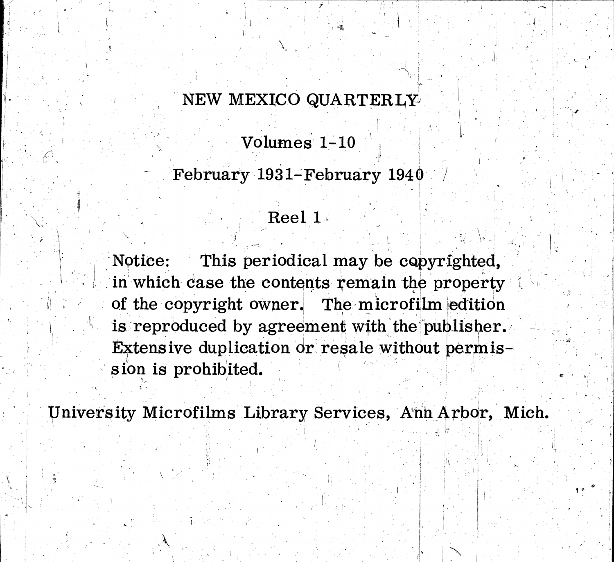# NEW MEXICO QUARTERLY

Volumes 1-10

February 1931–February 1940 /

Reel 1

This periodical may be copyrighted, Notice: in which case the contents remain the property of the copyright owner. The microfilm edition is reproduced by agreement with the publisher. Extensive duplication or resale without permission is prohibited.

University Microfilms Library Services, Ann Arbor, Mich.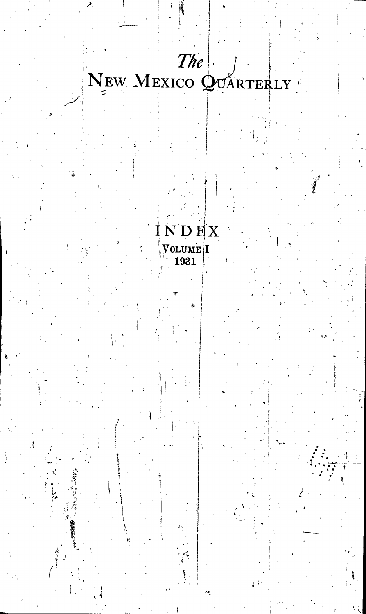

ر<br>جم

 $5.977 \times 10^{14}$ 

 $\begin{array}{c} \textbf{N} \textbf{D} \textbf{E} \textbf{X} \ \textbf{Volume} \textbf{I} \ \textbf{1931} \end{array}$ 

ñ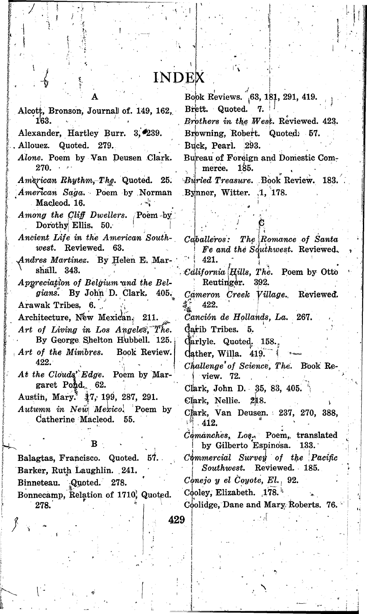## **INDEX**

Alcott, Bronson, Journal of. 149, 162, Alexander, Hartley Burr. 3, 239. Allouez. Quoted. 279. Alone. Poem by Van Deusen Clark. 270. American Rhythm, The. Quoted. 25. American Saga. Poem by Norman Macleod. 16.  $\sim$ Among the Cliff Dwellers. Poem by Dorothy Ellis. 50. Ancient Life in the American Southwest. Reviewed. 63. Andres Martinez. By Helen E. Marshall. 343. Appreciation of Belgium and the Belgians. By John D. Clark. 405. Arawak Tribes, 6. Architecture, New Mexican, 211. Art of Living in Los Angeles, The. By George Shelton Hubbell. 125. Art of the Mimbres. Book Review. 422. At the Clouds' Edge. Poem by Margaret Pond. 62. Austin, Mary. 17, 199, 287, 291. Autumn in New Mexico. Poem by Catherine Macleod. 55. Balagtas, Francisco. Quoted. 57. Barker, Ruth Laughlin. 241. Quoted. Binneteau. 278. Bonnecamp, Relation of 1710; Quoted. 278.

Book Reviews. 63, 181, 291, 419. Brett. Quoted. 7. Brothers in the West. Reviewed. 423.

Browning, Robert. Quoted: 57.

Buck. Pearl. 293.

Bureau of Foreign and Domestic Commerce. 185.

Buried Treasure. Book Review. 183. Bynner, Witter. .1, 178.

 $Caballeros:$ The Romance of Santa Fe and the Southwest. Reviewed. 421. California Hills, The. Poem by Otto Reutinger. 392. Cameron Creek Village. Reviewed. 422. Canción de Hollands, La. 267. Carib Tribes. 5. Carlyle. Quoted. 158. Gather, Willa. 419. Challenge of Science, The. Book Review. 72. Clark, John D. 35, 83, 405. Clark, Nellie. 218. Cfark, Van Deusen. 237, 270, 388,  $\sim 412.$ Comanches, Los. Poem, translated by Gilberto Espinosa. 133. Commercial Survey of the Pacific Southwest. Reviewed. 185.  $C\phi$ nejo y el Coyote, El., 92. Cooley, Elizabeth. 178. Coolidge, Dane and Mary Roberts. 76.

429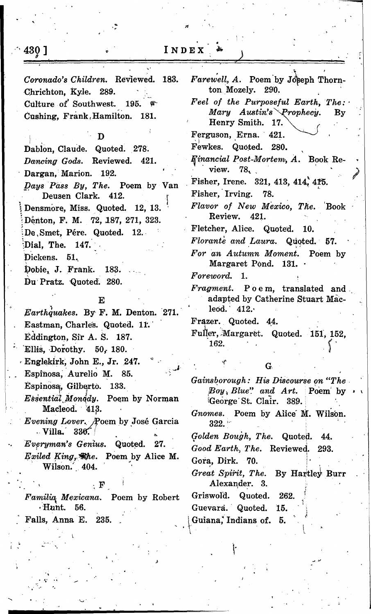|  | $\mathbf N$ ) | D I | R<br>. . |  |  |  |
|--|---------------|-----|----------|--|--|--|
|--|---------------|-----|----------|--|--|--|

| Coronado's Children. Reviewed. 183.<br>Chrichton, Kyle. 289.    | Farewell, A. Poem by Joseph Thorn-<br>ton Mozely. 290.                                                      |
|-----------------------------------------------------------------|-------------------------------------------------------------------------------------------------------------|
| Culture of Southwest. 195.<br>Cushing, Frank, Hamilton. 181.    | Feel of the Purposeful Earth, The:<br>Mary Austin's Prophecy.<br>$\mathbf{B}\mathbf{y}$<br>Henry Smith. 17. |
| Ð                                                               | Ferguson, Erna. 421.                                                                                        |
| Dablon, Claude. Quoted. 278.                                    | Fewkes. Quoted. 280.                                                                                        |
| Dancing Gods. Reviewed. 421.                                    | Financial Post-Mortem, A. Book Re-                                                                          |
| Dargan, Marion. 192.                                            | view. 78.                                                                                                   |
| Days Pass By, The. Poem by Van<br>Deusen Clark. 412.            | Fisher, Irene. 321, 413, 414, 415.<br>Fisher, Irving. 78.                                                   |
| Densmore, Miss. Quoted. 12, 13.                                 | Flavor of New Mexico, The. Book<br>Review. 421.                                                             |
| Denton, F. M. 72, 187, 271, 323.                                | Fletcher, Alice. Quoted. 10.                                                                                |
| De, Smet, Pére. Quoted. 12.                                     | Florante and Laura. Quoted. 57.                                                                             |
| Dial, The. 147.                                                 | For an Autumn Moment. Poem by                                                                               |
| Dickens. 51.                                                    | Margaret Pond. 131. .                                                                                       |
| Dobie, J. Frank. 183.<br>Du Pratz. Quoted. 280.                 | Foreword. 1.                                                                                                |
|                                                                 | Fragment. Poem, translated and                                                                              |
| Е                                                               | adapted by Catherine Stuart Mac-                                                                            |
| Earthquakes. By F. M. Denton. 271.                              | leod. $412.$                                                                                                |
| Eastman, Charles. Quoted. 11.                                   | Frazer. Quoted. 44.                                                                                         |
| Eddington, Sir A. S. 187.                                       | Fuller, Margaret. Quoted. 151, 152,<br>162.                                                                 |
| Ellis, Dorothy. 50, 180.                                        |                                                                                                             |
| Englekirk, John E., Jr. 247.                                    | G.                                                                                                          |
| Espinosa, Aurelio M. 85.                                        | Gainsborough: His Discourse on "The                                                                         |
| Espinosa, Gilberto. 133.                                        | $\text{Boy}_h$ Blue" and Art.<br>Poem by                                                                    |
| Essential Monddy. Poem by Norman<br>Macleod. 413.               | George St. Clair. 389.                                                                                      |
| <i>Evening Lover. Poem by José Garcia</i><br><b>Villa.</b> 336. | Gnomes. Poem by Alice M. Wilson.<br>322.                                                                    |
| Everyman's Genius. Quoted. 27.                                  | Golden Bough, The. Quoted. 44.                                                                              |
| <i>Exiled King, the.</i> Poem by Alice M.                       | Good Earth, The. Reviewed. 293.<br>Gora, Dirk. 70.                                                          |
| Wilson. 404.                                                    | Great Spirit, The. By Hartley Burr                                                                          |
| ${\bf F}$                                                       | Alexander. 3.                                                                                               |
| Familia Mexicana. Poem by Robert<br>$\cdot$ Hunt.<br>56.        | Griswold. Quoted.<br>262.                                                                                   |
| Falls, Anna E.<br>235.                                          | Guevara. Quoted.<br>15.<br>Guiana, Indians of. 5.                                                           |
|                                                                 |                                                                                                             |

أ|<br>|

 $\lceil 430 \rceil$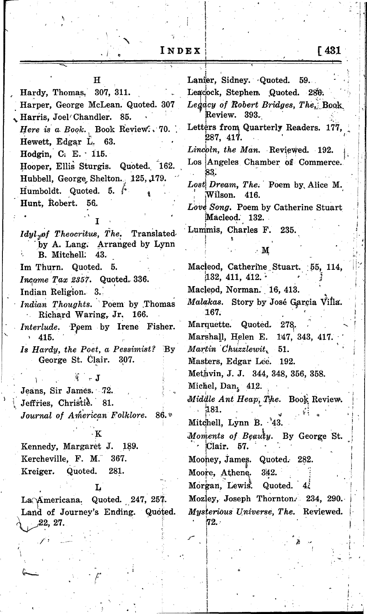Lanier, Sidney. Quoted. H  $59.$ Hardy, Thomas, 307, 311. Leacock, Stephen Quoted. 286. Harper, George McLean. Quoted. 307 Legacy of Robert Bridges, The. Book Review. 393. Harris, Joel Chandler. 85. Letters from Quarterly Readers. 177, Here is a Book. Book Review. 70. 287, 417. Hewett, Edgar L. 63. Lincoln, the Man. Reviewed. 192. Hodgin, C. E. 115. Los Angeles Chamber of Commerce. Hooper, Ellis Sturgis. Quoted. 162. 33. Hubbell, George Shelton. 125, 179. Lost Dream, The. Poem by Alice M. Humboldt. Quoted. 5. Wilson. 416. Hunt, Robert. 56. Love Song. Poem by Catherine Stuart Macleod. 132. Lummis, Charles F. 235. Idyl of Theocritus, The. Translated by A. Lang. Arranged by Lynn  $\cdot$  M B. Mitchell. 43. Macleod, Catherine Stuart. 55, 114, Im Thurn. Quoted. 5.  $132, 411, 412.$ Income Tax 2357. Quoted. 336. Macleod, Norman. 16, 413. Indian Religion. 3. Malakas. Story by José Garcia Villa. Indian Thoughts. Poem by Thomas 167. Richard Waring, Jr. 166. Marquette. Quoted. 278. Interlude. Poem by Irene Fisher. Marshall, Helen E. 147, 343, 417. 415. Martin Chuzzlewit, Is Hardy, the Poet, a Pessimist? By 51. George St. Clair. 307. Masters, Edgar Lee. 192. Methvin, J. J. 344, 348, 356, 358. 签  $\sim$  J Michel, Dan. 412. Jeans, Sir James. 72. Middle Ant Heap, The. Book Review. Jeffries, Christie. 81.  $-181.$ Journal of American Folklore.  $86.$ Mitchell, Lynn B. <sup>3</sup>43. Moments of Beauty. By George St. Clair. 57. Kennedy, Margaret J. 189. Kercheville, F. M. 367. Mooney, James. Quoted. 282. Quoted. 281. Kreiger. Moore, Athene. 342. Morgan, Lewis. Quoted. 4. L Mozley, Joseph Thornton. 234, 290. La Americana. Quoted. 247, 257. Land of Journey's Ending. Quoted. Mysterious Universe, The. Reviewed.

 $72.$ 

 $22, 27.$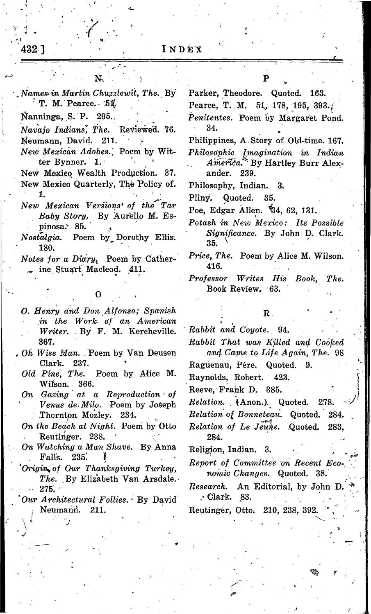| N.                                                                                               | Р                                                                                               |
|--------------------------------------------------------------------------------------------------|-------------------------------------------------------------------------------------------------|
| Names in Martin Chuzzlewit, The. By<br>T. M. Pearce. $51$ .                                      | Parker, Theodore. Quoted. 163.<br>Pearce, T. M. 51, 178, 195, 393. $\sqrt{ }$                   |
| Nanninga, S. P. 295.                                                                             | Penitentes. Poem by Margaret Pond.                                                              |
| Navajo Indians, The. Reviewed. 76.                                                               | 34.                                                                                             |
| Neumann, David. 211.                                                                             | Philippines, A Story of Old-time. 167.                                                          |
| New Mexican Adobes. Poem by Wit-<br>ter Bynner. 1.<br>New Mexico Wealth Production. 37.          | Philosophic Imagination in Indian<br>America. <sup>*</sup> By Hartley Burr Alex-<br>ander. 239. |
| New Mexico Quarterly, The Policy of.                                                             | Philosophy, Indian. 3.                                                                          |
|                                                                                                  | Pliny.<br>Quoted. 35.                                                                           |
| New Mexican Versions' of the Tar                                                                 | Poe, Edgar Allen. \$4, 62, 131.                                                                 |
| Baby Story. By Aurelio M. Es-                                                                    | Potash in New Mexico: Its Possible                                                              |
| pinosa. 85.<br><i>Nostalgia.</i> Poem by Dorothy Ellis.                                          | Significance. By John D. Clark.                                                                 |
| 180.                                                                                             | 35.                                                                                             |
| Notes for a $Diary_i$ Poem by Cather-<br>$\sim$ ine Stuart Macleod. 411.                         | <i>Price, The.</i> Poem by Alice M. Wilson.<br>416.                                             |
|                                                                                                  | Professor Writes His Book,<br>The.                                                              |
|                                                                                                  | Book Review. 63.                                                                                |
| O. Henry and Don Alfonso; Spanish<br>in the Work of an American<br>Writer. By F. M. Kercheville. | $\mathbf{R}$<br>Rabbit and Coyote. 94.                                                          |
| 367.                                                                                             | Rabbit That was Killed and Cooked                                                               |
| Oh Wise Man. Poem by Van Deusen                                                                  | and Came to Life Again, The. 98                                                                 |
| Clark. 237.                                                                                      | Raguenau, Pére. Quoted. 9.                                                                      |
| Old Pine, The. Poem by Alice M.<br>Wilson. 366.                                                  | Raynolds, Robert.<br>423.                                                                       |
| On Gazing at a Reproduction of                                                                   | Reeve, Frank D. 385.                                                                            |
| Venus de Milo. Poem by Joseph                                                                    | Relation. (Anon.). Quoted. 278.                                                                 |
| Thornton Mozley. 234.                                                                            | Relation of Bonneteau. Quoted. 284.                                                             |
| On the Beach at Night. Poem by Otto<br>Reutinger. 238.                                           | Relation of Le Jeune. Quoted. 283,                                                              |
| On Watching a Man Shave. By Anna                                                                 | 284.                                                                                            |
| Falls. 235.                                                                                      | Religion, Indian. 3.                                                                            |
| Origin of Our Thanksgiving Turkey,<br>The. By Elizabeth Van Arsdale.                             | Report of Committee on Recent Eco-<br>nomic Changes. Quoted. 38.                                |
| 275.<br>Our Architectural Follies. By David                                                      | Research. An Editorial, by John D.<br>. Clark. 83.                                              |
| Neumann. 211.                                                                                    | Reutinger, Otto. 210, 238, 392.                                                                 |
|                                                                                                  |                                                                                                 |
|                                                                                                  |                                                                                                 |
|                                                                                                  |                                                                                                 |

 $^{1}$ 432 ]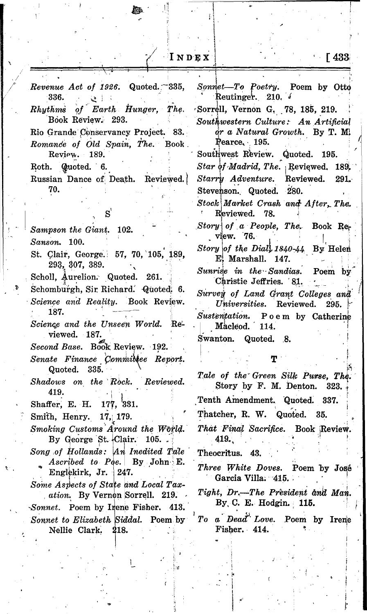$I \cup D E X$ 

Revenue Act of 1926. Quoted.  $-335$ , Sonnet-To Poetry. Poem by Otto Reutinger. 210.  $\sqrt{ }$ 336.  $\sim$   $\sim$ Sorrell, Vernon G. 78, 185, 219.  $\alpha f$ Earth Hunger, The.  $\bm{R} \bm{h} \bm{u} \bm{t} \bm{h} \bm{m} \dot{\bm{s}}$ Book Review. 293. Southwestern Culture: An Artificial Rio Grande Conservancy Project. 83. or a Natural Growth. By T. M. Pearce, 195. Romance of Old Spain, The. Book. Southwest Review. Quoted. 195. Review. 189. Star of Madrid, The. Reviewed. 189. Roth. Quoted. 6. Russian Dance of Death. Reviewed. Starry Adventure. Reviewed. 70. Stevenson. Quoted. 280. Stock Market Crash and After, The. Reviewed. 78. Story of a People, The. Book Re-Sampson the Giant. 102. view. 76. Sanson. 100. Story of the Dial, 1840-44 By Helen St. Clair, George. 57, 70, 105, 189, E. Marshall. 147. 293, 307, 389.  $\textit{Sunrise}$  in the Sandias. Poem by Scholl, Aurelion. Quoted. 261. Christie Jeffries. 81. Schomburgh, Sir Richard. Quoted. 6. Survey of Land Grant Colleges and Science and Reality. Book Review. Universities. Reviewed. 295. 187. Sustentation. Poem by Catherine Science and the Unseen World. Re-Macleod. 114. viewed. 187. Swanton. Quoted. 8. Second Base. Book Review. 192. Senate Finance Committee Report. Quoted. 335. Tale of the Green Silk Purse, The. Shadows on the Rock. Reviewed. Story by F. M. Denton. 419. Tenth Amendment. Quoted. Shaffer, E. H. 177, 381. Thatcher, R. W. Quoted. 35. Smith, Henry. 17, 179. That Final Sacrifice. Book Review. Smoking Customs Around the World. By George St. Clair.  $105.$ . 419. Song of Hollands: An Inedited Tale Theocritus. 43. Ascribed to Poe. By John E. Three White Doves. Poem by José Englekirk, Jr. 247. Garcia Villa. 415. Some Aspects of State and Local Tax-Tight, Dr.—The President and Man. *ation.* By Vernon Sorrell. 219. By C. E. Hodgin. 115. Sonnet. Poem by Irene Fisher. 413. To a Dead Love. Poem by Irene Sonnet to Elizabeth Siddal. Poem by Fisher. 414. Nellie Clark. 218.

 $\sqrt{433}$ 

 $291 -$ 

323.

337.